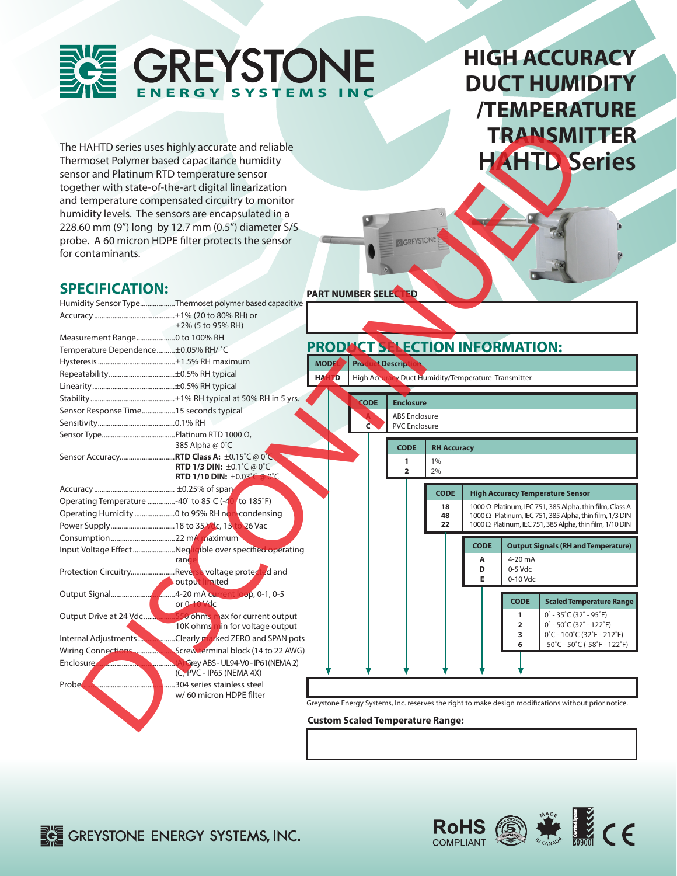

# **HIGH ACCURACY DUCT HUMIDITY /TEMPERATURE TRANSMITTER HAHTD Series**

|                                                    |                                                                                                          |                                                                                                      |                                                     |                    |             | <b>TRANSMITTER</b>                                                                                                        |                                                                         |
|----------------------------------------------------|----------------------------------------------------------------------------------------------------------|------------------------------------------------------------------------------------------------------|-----------------------------------------------------|--------------------|-------------|---------------------------------------------------------------------------------------------------------------------------|-------------------------------------------------------------------------|
|                                                    | The HAHTD series uses highly accurate and reliable                                                       |                                                                                                      |                                                     |                    |             |                                                                                                                           |                                                                         |
|                                                    | Thermoset Polymer based capacitance humidity                                                             |                                                                                                      |                                                     |                    |             | <b>HAHTD Series</b>                                                                                                       |                                                                         |
| sensor and Platinum RTD temperature sensor         |                                                                                                          |                                                                                                      |                                                     |                    |             |                                                                                                                           |                                                                         |
|                                                    | together with state-of-the-art digital linearization                                                     |                                                                                                      |                                                     |                    |             |                                                                                                                           |                                                                         |
|                                                    | and temperature compensated circuitry to monitor                                                         |                                                                                                      |                                                     |                    |             |                                                                                                                           |                                                                         |
|                                                    |                                                                                                          |                                                                                                      |                                                     |                    |             |                                                                                                                           |                                                                         |
|                                                    | humidity levels. The sensors are encapsulated in a                                                       |                                                                                                      |                                                     |                    |             |                                                                                                                           |                                                                         |
|                                                    | 228.60 mm (9") long by 12.7 mm (0.5") diameter S/S                                                       |                                                                                                      |                                                     |                    |             |                                                                                                                           |                                                                         |
|                                                    | probe. A 60 micron HDPE filter protects the sensor                                                       |                                                                                                      |                                                     |                    |             |                                                                                                                           |                                                                         |
| for contaminants.                                  |                                                                                                          |                                                                                                      |                                                     |                    |             |                                                                                                                           |                                                                         |
|                                                    |                                                                                                          |                                                                                                      |                                                     |                    |             |                                                                                                                           |                                                                         |
|                                                    |                                                                                                          |                                                                                                      |                                                     |                    |             |                                                                                                                           |                                                                         |
| <b>SPECIFICATION:</b>                              |                                                                                                          | <b>PART NUMBER SELEC</b>                                                                             |                                                     |                    |             |                                                                                                                           |                                                                         |
|                                                    | Humidity Sensor TypeThermoset polymer based capacitive                                                   |                                                                                                      |                                                     |                    |             |                                                                                                                           |                                                                         |
|                                                    |                                                                                                          |                                                                                                      |                                                     |                    |             |                                                                                                                           |                                                                         |
|                                                    | $\pm$ 2% (5 to 95% RH)                                                                                   |                                                                                                      |                                                     |                    |             |                                                                                                                           |                                                                         |
| Measurement Range0 to 100% RH                      |                                                                                                          | PRODUCT SELECTION INFORMATION:                                                                       |                                                     |                    |             |                                                                                                                           |                                                                         |
| Temperature Dependence±0.05% RH/ °C                |                                                                                                          |                                                                                                      |                                                     |                    |             |                                                                                                                           |                                                                         |
|                                                    |                                                                                                          | <b>Product Descript</b><br><b>MODE</b>                                                               |                                                     |                    |             |                                                                                                                           |                                                                         |
|                                                    |                                                                                                          | HA<br>ГD.                                                                                            | High Accuracy Duct Humidity/Temperature Transmitter |                    |             |                                                                                                                           |                                                                         |
|                                                    |                                                                                                          |                                                                                                      |                                                     |                    |             |                                                                                                                           |                                                                         |
|                                                    |                                                                                                          | <b>CODE</b>                                                                                          | <b>Enclosure</b>                                    |                    |             |                                                                                                                           |                                                                         |
| Sensor Response Time 15 seconds typical            |                                                                                                          |                                                                                                      | <b>ABS Enclosure</b>                                |                    |             |                                                                                                                           |                                                                         |
|                                                    |                                                                                                          | C                                                                                                    | <b>PVC Enclosure</b>                                |                    |             |                                                                                                                           |                                                                         |
|                                                    |                                                                                                          |                                                                                                      |                                                     |                    |             |                                                                                                                           |                                                                         |
|                                                    | 385 Alpha @ 0°C                                                                                          |                                                                                                      | <b>CODE</b>                                         | <b>RH Accuracy</b> |             |                                                                                                                           |                                                                         |
|                                                    | Sensor Accuracy RTD Class A: ±0.15°C @ 0°C<br><b>RTD 1/3 DIN:</b> $\pm 0.1^{\circ}$ C @ 0 <sup>°</sup> C |                                                                                                      | 1                                                   | 1%                 |             |                                                                                                                           |                                                                         |
|                                                    | <b>RTD 1/10 DIN:</b> $\pm 0.03^{\circ}$ C @ 0°C                                                          |                                                                                                      | $\overline{2}$                                      | 2%                 |             |                                                                                                                           |                                                                         |
|                                                    |                                                                                                          |                                                                                                      |                                                     | <b>CODE</b>        |             |                                                                                                                           |                                                                         |
| Operating Temperature -40° to 85°C (-40° to 185°F) |                                                                                                          |                                                                                                      |                                                     |                    |             | <b>High Accuracy Temperature Sensor</b>                                                                                   |                                                                         |
|                                                    |                                                                                                          |                                                                                                      |                                                     | 18<br>48           |             | 1000 Ω Platinum, IEC 751, 385 Alpha, thin film, Class A<br>1000 $\Omega$ Platinum, IEC 751, 385 Alpha, thin film, 1/3 DIN |                                                                         |
|                                                    |                                                                                                          |                                                                                                      |                                                     | 22                 |             | 1000 Ω Platinum, IEC 751, 385 Alpha, thin film, 1/10 DIN                                                                  |                                                                         |
|                                                    |                                                                                                          |                                                                                                      |                                                     |                    |             |                                                                                                                           |                                                                         |
|                                                    | Input Voltage EffectNegligible over specified operating                                                  |                                                                                                      |                                                     |                    | <b>CODE</b> | <b>Output Signals (RH and Temperature)</b>                                                                                |                                                                         |
|                                                    | rand                                                                                                     |                                                                                                      |                                                     |                    | Α           | 4-20 mA                                                                                                                   |                                                                         |
|                                                    | Protection CircuitryReverse voltage protected and                                                        |                                                                                                      |                                                     |                    | D<br>E      | 0-5 Vdc<br>0-10 Vdc                                                                                                       |                                                                         |
|                                                    | output limited                                                                                           |                                                                                                      |                                                     |                    |             |                                                                                                                           |                                                                         |
|                                                    | or 0-10 Vdc                                                                                              |                                                                                                      |                                                     |                    |             | <b>CODE</b>                                                                                                               | <b>Scaled Temperature Range</b>                                         |
|                                                    |                                                                                                          |                                                                                                      |                                                     |                    |             | $0^\circ$ - 35 $^\circ$ C (32 $^\circ$ - 95 $^\circ$ F)<br>1                                                              |                                                                         |
|                                                    | 10K ohms min for voltage output                                                                          |                                                                                                      |                                                     |                    |             | 2                                                                                                                         | $0^\circ$ - 50 $\degree$ C (32 $^\circ$ - 122 $\degree$ F)              |
| Internal Adjustments                               | Clearly marked ZERO and SPAN pots                                                                        |                                                                                                      |                                                     |                    |             | 3                                                                                                                         | $0^{\circ}$ C - 100 $^{\circ}$ C (32 $^{\circ}$ F - 212 $^{\circ}$ F)   |
| <b>Wiring Connections.</b>                         | Screw terminal block (14 to 22 AWG)                                                                      |                                                                                                      |                                                     |                    |             |                                                                                                                           | $-50^{\circ}$ C - 50 $^{\circ}$ C (-58 $^{\circ}$ F - 122 $^{\circ}$ F) |
| Enclosure,                                         | Grey ABS - UL94-V0 - IP61 (NEMA 2)                                                                       |                                                                                                      |                                                     |                    |             |                                                                                                                           |                                                                         |
|                                                    | (C) PVC - IP65 (NEMA 4X)                                                                                 |                                                                                                      |                                                     |                    |             |                                                                                                                           |                                                                         |
| Probe.                                             | 304 series stainless steel                                                                               |                                                                                                      |                                                     |                    |             |                                                                                                                           |                                                                         |
|                                                    | w/60 micron HDPE filter                                                                                  |                                                                                                      |                                                     |                    |             |                                                                                                                           |                                                                         |
|                                                    |                                                                                                          | Greystone Energy Systems, Inc. reserves the right to make design modifications without prior notice. |                                                     |                    |             |                                                                                                                           |                                                                         |
|                                                    |                                                                                                          | <b>Custom Scaled Temperature Range:</b>                                                              |                                                     |                    |             |                                                                                                                           |                                                                         |
|                                                    |                                                                                                          |                                                                                                      |                                                     |                    |             |                                                                                                                           |                                                                         |